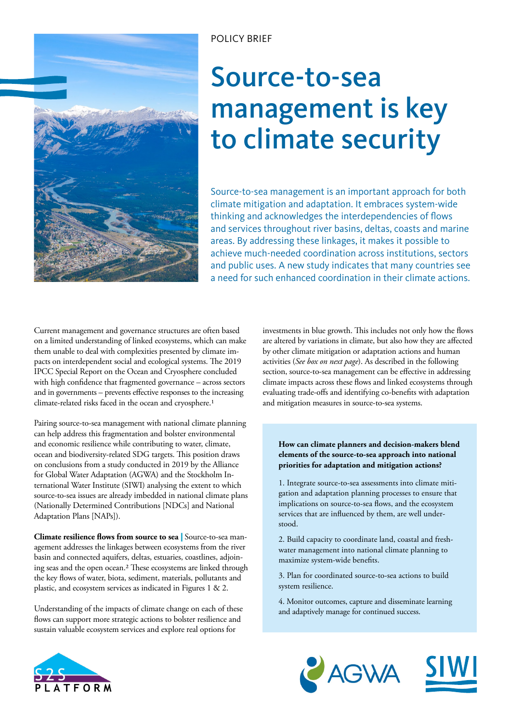

## POLICY BRIEF

# Source-to-sea management is key to climate security

Source-to-sea management is an important approach for both climate mitigation and adaptation. It embraces system-wide thinking and acknowledges the interdependencies of flows and services throughout river basins, deltas, coasts and marine areas. By addressing these linkages, it makes it possible to achieve much-needed coordination across institutions, sectors and public uses. A new study indicates that many countries see a need for such enhanced coordination in their climate actions.

Current management and governance structures are often based on a limited understanding of linked ecosystems, which can make them unable to deal with complexities presented by climate impacts on interdependent social and ecological systems. The 2019 IPCC Special Report on the Ocean and Cryosphere concluded with high confidence that fragmented governance – across sectors and in governments – prevents effective responses to the increasing climate-related risks faced in the ocean and cryosphere.1

Pairing source-to-sea management with national climate planning can help address this fragmentation and bolster environmental and economic resilience while contributing to water, climate, ocean and biodiversity-related SDG targets. This position draws on conclusions from a study conducted in 2019 by the Alliance for Global Water Adaptation (AGWA) and the Stockholm International Water Institute (SIWI) analysing the extent to which source-to-sea issues are already imbedded in national climate plans (Nationally Determined Contributions [NDCs] and National Adaptation Plans [NAPs]).

**Climate resilience flows from source to sea** | Source-to-sea management addresses the linkages between ecosystems from the river basin and connected aquifers, deltas, estuaries, coastlines, adjoining seas and the open ocean.2 These ecosystems are linked through the key flows of water, biota, sediment, materials, pollutants and plastic, and ecosystem services as indicated in Figures 1 & 2.

Understanding of the impacts of climate change on each of these flows can support more strategic actions to bolster resilience and sustain valuable ecosystem services and explore real options for

investments in blue growth. This includes not only how the flows are altered by variations in climate, but also how they are affected by other climate mitigation or adaptation actions and human activities (*See box on next page*). As described in the following section, source-to-sea management can be effective in addressing climate impacts across these flows and linked ecosystems through evaluating trade-offs and identifying co-benefits with adaptation and mitigation measures in source-to-sea systems.

#### **How can climate planners and decision-makers blend elements of the source-to-sea approach into national priorities for adaptation and mitigation actions?**

1. Integrate source-to-sea assessments into climate mitigation and adaptation planning processes to ensure that implications on source-to-sea flows, and the ecosystem services that are influenced by them, are well understood.

2. Build capacity to coordinate land, coastal and freshwater management into national climate planning to maximize system-wide benefits.

3. Plan for coordinated source-to-sea actions to build system resilience.

4. Monitor outcomes, capture and disseminate learning and adaptively manage for continued success.





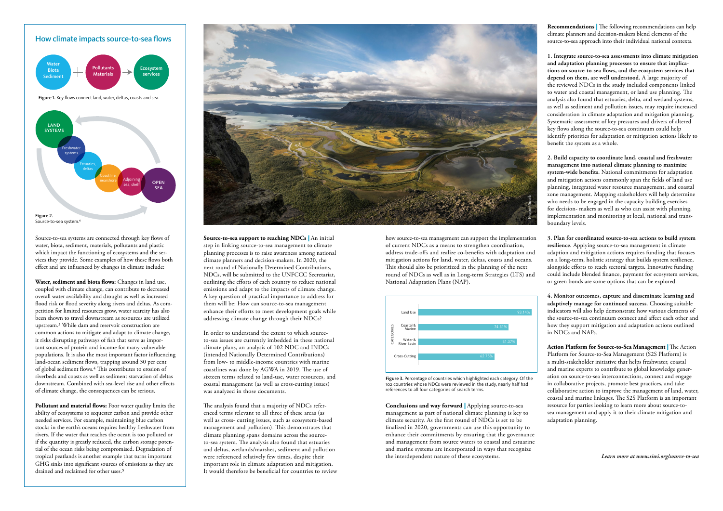how source-to-sea management can support the implementation of current NDCs as a means to strengthen coordination, address trade-offs and realize co-benefits with adaptation and mitigation actions for land, water, deltas, coasts and oceans. This should also be prioritized in the planning of the next round of NDCs as well as in Long-term Strategies (LTS) and National Adaptation Plans (NAP).

**Conclusions and way forward** | Applying source-to-sea management as part of national climate planning is key to climate security. As the first round of NDCs is set to be finalized in 2020, governments can use this opportunity to enhance their commitments by ensuring that the governance and management from source waters to coastal and estuarine and marine systems are incorporated in ways that recognize the interdependent nature of these ecosystems.

Source-to-sea systems are connected through key flows of water, biota, sediment, materials, pollutants and plastic which impact the functioning of ecosystems and the services they provide. Some examples of how these flows both effect and are influenced by changes in climate include:

> In order to understand the extent to which sourceto-sea issues are currently imbedded in these national climate plans, an analysis of 102 NDC and INDCs (intended Nationally Determined Contributions) from low- to middle-income countries with marine coastlines was done by AGWA in 2019. The use of sixteen terms related to land-use, water resources, and coastal management (as well as cross-cutting issues) was analyzed in those documents.

**Water, sediment and biota flows:** Changes in land use, coupled with climate change, can contribute to decreased overall water availability and drought as well as increased flood risk or flood severity along rivers and deltas. As competition for limited resources grow, water scarcity has also been shown to travel downstream as resources are utilized upstream.3 While dam and reservoir construction are common actions to mitigate and adapt to climate change, it risks disrupting pathways of fish that serve as important sources of protein and income for many vulnerable populations. It is also the most important factor influencing land-ocean sediment flows, trapping around 30 per cent of global sediment flows.4 This contributes to erosion of riverbeds and coasts as well as sediment starvation of deltas downstream. Combined with sea-level rise and other effects of climate change, the consequences can be serious.

**Pollutant and material flows:** Poor water quality limits the ability of ecosystems to sequester carbon and provide other needed services. For example, maintaining blue carbon stocks in the earth's oceans requires healthy freshwater from rivers. If the water that reaches the ocean is too polluted or if the quantity is greatly reduced, the carbon storage potential of the ocean risks being compromised. Degradation of tropical peatlands is another example that turns important GHG sinks into significant sources of emissions as they are drained and reclaimed for other uses.5



**Source-to-sea support to reaching NDCs** | An initial step in linking source-to-sea management to climate planning processes is to raise awareness among national climate planners and decision-makers. In 2020, the next round of Nationally Determined Contributions, NDCs, will be submitted to the UNFCCC Secretariat, outlining the efforts of each country to reduce national emissions and adapt to the impacts of climate change. A key question of practical importance to address for them will be: How can source-to-sea management enhance their efforts to meet development goals while addressing climate change through their NDCs?

The analysis found that a majority of NDCs referenced terms relevant to all three of these areas (as well as cross- cutting issues, such as ecosystem-based management and pollution). This demonstrates that climate planning spans domains across the sourceto-sea system. The analysis also found that estuaries and deltas, wetlands/marshes, sediment and pollution were referenced relatively few times, despite their important role in climate adaptation and mitigation. It would therefore be beneficial for countries to review



**Recommendations** | The following recommendations can help climate planners and decision-makers blend elements of the source-to-sea approach into their individual national contexts.

**1. Integrate source-to-sea assessments into climate mitigation and adaptation planning processes to ensure that implications on source-to-sea flows, and the ecosystem services that depend on them, are well understood.** A large majority of the reviewed NDCs in the study included components linked to water and coastal management, or land use planning. The analysis also found that estuaries, delta, and wetland systems, as well as sediment and pollution issues, may require increased consideration in climate adaptation and mitigation planning. Systematic assessment of key pressures and drivers of altered key flows along the source-to-sea continuum could help identify priorities for adaptation or mitigation actions likely to benefit the system as a whole.

**2. Build capacity to coordinate land, coastal and freshwater management into national climate planning to maximize system-wide benefits.** National commitments for adaptation and mitigation actions commonly span the fields of land use planning, integrated water resource management, and coastal zone management. Mapping stakeholders will help determine who needs to be engaged in the capacity building exercises for decision- makers as well as who can assist with planning, implementation and monitoring at local, national and transboundary levels.

**3. Plan for coordinated source-to-sea actions to build system resilience.** Applying source-to-sea management in climate adaption and mitigation actions requires funding that focuses on a long-term, holistic strategy that builds system resilience, alongside efforts to reach sectoral targets. Innovative funding could include blended finance, payment for ecosystem services, or green bonds are some options that can be explored.

**4. Monitor outcomes, capture and disseminate learning and adaptively manage for continued success.** Choosing suitable indicators will also help demonstrate how various elements of the source-to-sea continuum connect and affect each other and how they support mitigation and adaptation actions outlined in NDCs and NAPs.

**Action Platform for Source-to-Sea Management** | The Action Platform for Source-to-Sea Management (S2S Platform) is a multi-stakeholder initiative that helps freshwater, coastal and marine experts to contribute to global knowledge generation on source-to-sea interconnections, connect and engage in collaborative projects, promote best practices, and take collaborative action to improve the management of land, water, coastal and marine linkages. The S2S Platform is an important resource for parties looking to learn more about source-tosea management and apply it to their climate mitigation and adaptation planning.



Figure 3. Percentage of countries which highlighted each category. Of the 102 countries whose NDCs were reviewed in the study, nearly half had references to all four categories of search terms.